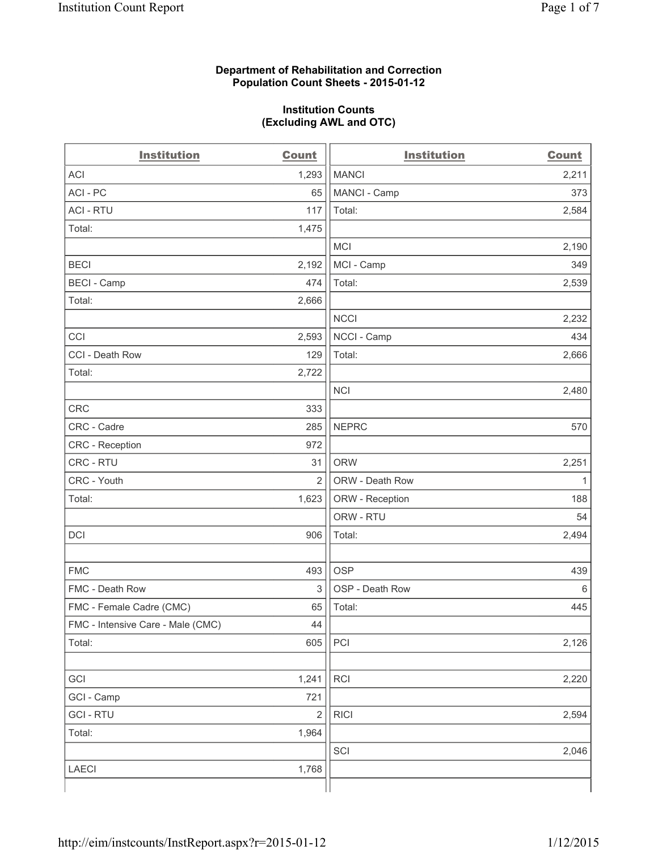### **Department of Rehabilitation and Correction Population Count Sheets - 2015-01-12**

#### **Institution Counts (Excluding AWL and OTC)**

| <b>Institution</b>                | <b>Count</b>   | <b>Institution</b> | <b>Count</b> |
|-----------------------------------|----------------|--------------------|--------------|
| <b>ACI</b>                        | 1,293          | <b>MANCI</b>       | 2,211        |
| ACI-PC                            | 65             | MANCI - Camp       | 373          |
| <b>ACI - RTU</b>                  | 117            | Total:             | 2,584        |
| Total:                            | 1,475          |                    |              |
|                                   |                | <b>MCI</b>         | 2,190        |
| <b>BECI</b>                       | 2,192          | MCI - Camp         | 349          |
| <b>BECI - Camp</b>                | 474            | Total:             | 2,539        |
| Total:                            | 2,666          |                    |              |
|                                   |                | <b>NCCI</b>        | 2,232        |
| CCI                               | 2,593          | NCCI - Camp        | 434          |
| CCI - Death Row                   | 129            | Total:             | 2,666        |
| Total:                            | 2,722          |                    |              |
|                                   |                | <b>NCI</b>         | 2,480        |
| <b>CRC</b>                        | 333            |                    |              |
| CRC - Cadre                       | 285            | <b>NEPRC</b>       | 570          |
| CRC - Reception                   | 972            |                    |              |
| CRC - RTU                         | 31             | <b>ORW</b>         | 2,251        |
| CRC - Youth                       | $\overline{2}$ | ORW - Death Row    | 1            |
| Total:                            | 1,623          | ORW - Reception    | 188          |
|                                   |                | ORW - RTU          | 54           |
| DCI                               | 906            | Total:             | 2,494        |
|                                   |                |                    |              |
| <b>FMC</b>                        | 493            | <b>OSP</b>         | 439          |
| FMC - Death Row                   | 3              | OSP - Death Row    | 6            |
| FMC - Female Cadre (CMC)          | 65             | Total:             | 445          |
| FMC - Intensive Care - Male (CMC) | 44             |                    |              |
| Total:                            | 605            | PCI                | 2,126        |
|                                   |                |                    |              |
| GCI                               | 1,241          | RCI                | 2,220        |
| GCI - Camp                        | 721            |                    |              |
| <b>GCI-RTU</b>                    | $\overline{2}$ | <b>RICI</b>        | 2,594        |
| Total:                            | 1,964          |                    |              |
|                                   |                | SCI                | 2,046        |
| <b>LAECI</b>                      | 1,768          |                    |              |
|                                   |                |                    |              |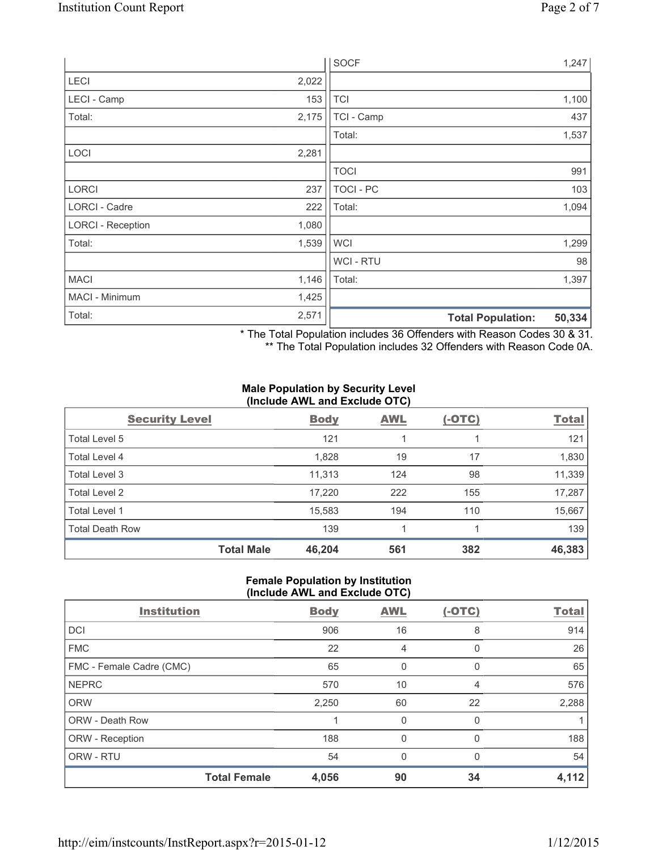|                          |       | <b>SOCF</b>    | 1,247                              |
|--------------------------|-------|----------------|------------------------------------|
| LECI                     | 2,022 |                |                                    |
| LECI - Camp              | 153   | <b>TCI</b>     | 1,100                              |
| Total:                   | 2,175 | TCI - Camp     | 437                                |
|                          |       | Total:         | 1,537                              |
| LOCI                     | 2,281 |                |                                    |
|                          |       | <b>TOCI</b>    | 991                                |
| <b>LORCI</b>             | 237   | TOCI - PC      | 103                                |
| LORCI - Cadre            | 222   | Total:         | 1,094                              |
| <b>LORCI - Reception</b> | 1,080 |                |                                    |
| Total:                   | 1,539 | <b>WCI</b>     | 1,299                              |
|                          |       | <b>WCI-RTU</b> | 98                                 |
| <b>MACI</b>              | 1,146 | Total:         | 1,397                              |
| MACI - Minimum           | 1,425 |                |                                    |
| Total:                   | 2,571 |                | 50,334<br><b>Total Population:</b> |

\* The Total Population includes 36 Offenders with Reason Codes 30 & 31. \*\* The Total Population includes 32 Offenders with Reason Code 0A.

# **Male Population by Security Level (Include AWL and Exclude OTC)**

| <b>Security Level</b>  |                   | <b>Body</b> | <b>AWL</b> | $(-OTC)$ | <b>Total</b> |
|------------------------|-------------------|-------------|------------|----------|--------------|
| Total Level 5          |                   | 121         |            |          | 121          |
| Total Level 4          |                   | 1,828       | 19         | 17       | 1,830        |
| Total Level 3          |                   | 11,313      | 124        | 98       | 11,339       |
| Total Level 2          |                   | 17,220      | 222        | 155      | 17,287       |
| Total Level 1          |                   | 15,583      | 194        | 110      | 15,667       |
| <b>Total Death Row</b> |                   | 139         |            |          | 139          |
|                        | <b>Total Male</b> | 46,204      | 561        | 382      | 46,383       |

#### **Female Population by Institution (Include AWL and Exclude OTC)**

| $  \prime$               |                     |             |            |          |              |
|--------------------------|---------------------|-------------|------------|----------|--------------|
| <b>Institution</b>       |                     | <b>Body</b> | <b>AWL</b> | $(-OTC)$ | <b>Total</b> |
| <b>DCI</b>               |                     | 906         | 16         | 8        | 914          |
| <b>FMC</b>               |                     | 22          | 4          | $\Omega$ | 26           |
| FMC - Female Cadre (CMC) |                     | 65          | 0          | $\Omega$ | 65           |
| <b>NEPRC</b>             |                     | 570         | 10         | 4        | 576          |
| <b>ORW</b>               |                     | 2,250       | 60         | 22       | 2,288        |
| <b>ORW - Death Row</b>   |                     |             | 0          | 0        |              |
| ORW - Reception          |                     | 188         | 0          | 0        | 188          |
| ORW - RTU                |                     | 54          | $\Omega$   | $\Omega$ | 54           |
|                          | <b>Total Female</b> | 4,056       | 90         | 34       | 4,112        |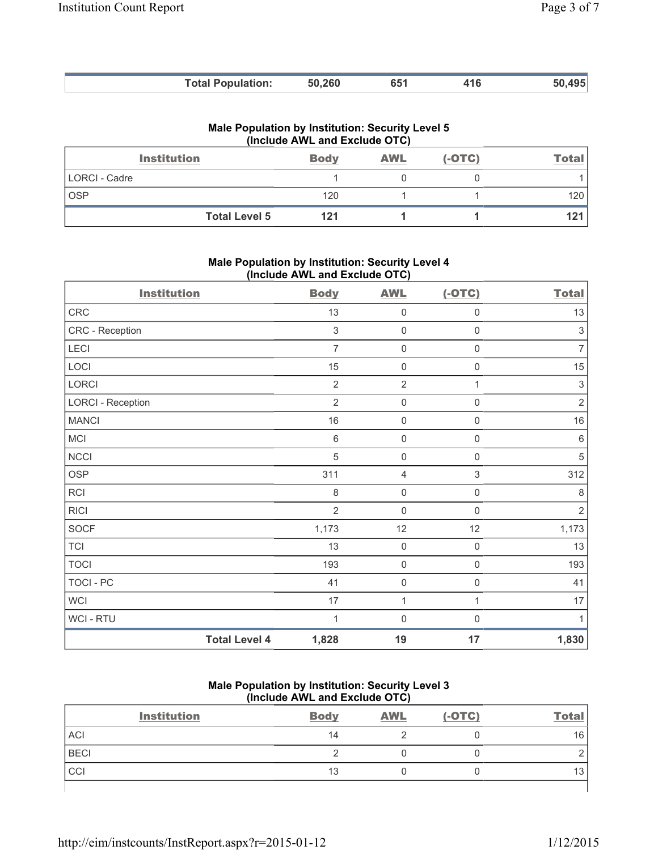| <b>Total Population:</b> | 50,260 | 651 | 416 | 50 495 |
|--------------------------|--------|-----|-----|--------|

|  | Male Population by Institution: Security Level 5 |  |
|--|--------------------------------------------------|--|
|  | (Include AWL and Exclude OTC)                    |  |

| <b>Institution</b>   | <b>Body</b> | <b>AWL</b> | $(-OTC)$ | <u>Total</u> |
|----------------------|-------------|------------|----------|--------------|
| LORCI - Cadre        |             |            |          |              |
| <b>OSP</b>           | 120         |            |          | 120          |
| <b>Total Level 5</b> | 121         |            |          | 121          |

**Male Population by Institution: Security Level 4 (Include AWL and Exclude OTC)** 

| <b>Institution</b>       |                      | <b>Body</b>    | <b>AWL</b>          | $(-OTC)$            | <b>Total</b>              |
|--------------------------|----------------------|----------------|---------------------|---------------------|---------------------------|
| CRC                      |                      | 13             | $\mathbf 0$         | $\mathsf{O}\xspace$ | 13                        |
| CRC - Reception          |                      | $\sqrt{3}$     | $\mathsf{O}\xspace$ | $\mathsf{O}\xspace$ | $\sqrt{3}$                |
| LECI                     |                      | $\overline{7}$ | $\mathsf{O}\xspace$ | $\mathsf 0$         | 7                         |
| LOCI                     |                      | 15             | $\mathbf 0$         | $\mathbf 0$         | 15                        |
| LORCI                    |                      | $\overline{2}$ | $\overline{2}$      | 1                   | $\ensuremath{\mathsf{3}}$ |
| <b>LORCI - Reception</b> |                      | $\overline{2}$ | $\mathbf 0$         | $\mathbf 0$         | $\overline{2}$            |
| <b>MANCI</b>             |                      | 16             | $\mathsf{O}\xspace$ | $\mathbf 0$         | $16$                      |
| MCI                      |                      | $\,6\,$        | $\mathsf{O}\xspace$ | $\mathsf{O}\xspace$ | 6                         |
| <b>NCCI</b>              |                      | $\sqrt{5}$     | $\mathsf{O}\xspace$ | $\mathsf{O}\xspace$ | $\sqrt{5}$                |
| <b>OSP</b>               |                      | 311            | 4                   | 3                   | 312                       |
| <b>RCI</b>               |                      | 8              | $\mathbf 0$         | $\mathsf{O}\xspace$ | 8                         |
| <b>RICI</b>              |                      | $\overline{2}$ | $\mathbf 0$         | $\mathbf 0$         | $\overline{2}$            |
| SOCF                     |                      | 1,173          | 12                  | 12                  | 1,173                     |
| <b>TCI</b>               |                      | 13             | $\mathbf 0$         | $\mathsf{O}\xspace$ | 13                        |
| <b>TOCI</b>              |                      | 193            | $\mathsf{O}\xspace$ | $\mathsf{O}\xspace$ | 193                       |
| <b>TOCI - PC</b>         |                      | 41             | $\mathsf{O}\xspace$ | $\mathsf{O}\xspace$ | 41                        |
| <b>WCI</b>               |                      | 17             | 1                   | 1                   | 17                        |
| <b>WCI - RTU</b>         |                      | $\mathbf 1$    | $\mathbf 0$         | $\Omega$            | 1                         |
|                          | <b>Total Level 4</b> | 1,828          | 19                  | 17                  | 1,830                     |

# **Male Population by Institution: Security Level 3 (Include AWL and Exclude OTC)**

| <b>Institution</b> | <b>Body</b> | <b>AWL</b> | $(-OTC)$ | <b>Total</b> |
|--------------------|-------------|------------|----------|--------------|
| <b>ACI</b>         | 14          |            |          | 16           |
| <b>BECI</b>        |             |            |          |              |
| CCI                | 13          |            |          | JJ.          |
|                    |             |            |          |              |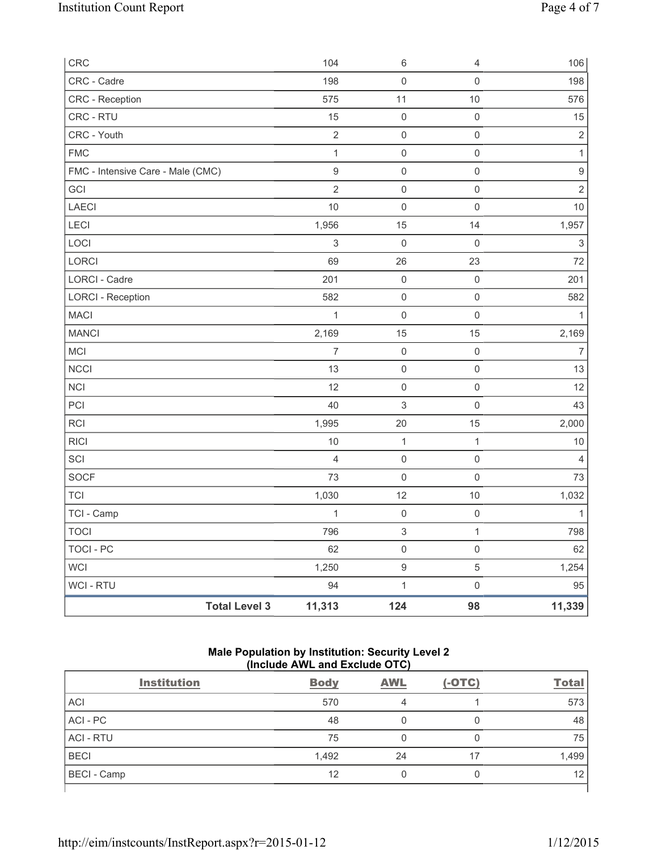| CRC                               | 104              | $\,6\,$                   | $\overline{4}$      | 106                       |
|-----------------------------------|------------------|---------------------------|---------------------|---------------------------|
| CRC - Cadre                       | 198              | $\mathsf{O}\xspace$       | $\Omega$            | 198                       |
| <b>CRC</b> - Reception            | 575              | 11                        | 10                  | 576                       |
| CRC - RTU                         | 15               | $\mathsf{O}\xspace$       | $\mathsf 0$         | 15                        |
| CRC - Youth                       | $\mathbf 2$      | $\mathsf 0$               | $\mathsf{O}\xspace$ | $\sqrt{2}$                |
| <b>FMC</b>                        | $\mathbf{1}$     | $\mathsf{O}\xspace$       | $\mathbf 0$         | $\mathbf{1}$              |
| FMC - Intensive Care - Male (CMC) | $\boldsymbol{9}$ | $\mathsf{O}\xspace$       | $\mathsf{O}\xspace$ | $\boldsymbol{9}$          |
| GCI                               | $\overline{2}$   | $\mathsf{O}\xspace$       | $\mathsf 0$         | $\mathbf 2$               |
| LAECI                             | 10               | $\mathsf{O}\xspace$       | $\mathsf 0$         | 10                        |
| LECI                              | 1,956            | 15                        | 14                  | 1,957                     |
| LOCI                              | $\sqrt{3}$       | $\mathsf{O}\xspace$       | $\mathbf 0$         | $\ensuremath{\mathsf{3}}$ |
| LORCI                             | 69               | 26                        | 23                  | 72                        |
| LORCI - Cadre                     | 201              | $\mathbf 0$               | $\mathsf 0$         | 201                       |
| <b>LORCI - Reception</b>          | 582              | $\mathsf{O}\xspace$       | $\mathsf 0$         | 582                       |
| <b>MACI</b>                       | $\mathbf{1}$     | $\mathsf{O}\xspace$       | $\mathsf 0$         | $\mathbf{1}$              |
| <b>MANCI</b>                      | 2,169            | 15                        | 15                  | 2,169                     |
| <b>MCI</b>                        | $\overline{7}$   | $\mathsf{O}\xspace$       | $\mathbf 0$         | $\overline{7}$            |
| <b>NCCI</b>                       | 13               | $\mathbf 0$               | $\mathbf 0$         | 13                        |
| <b>NCI</b>                        | 12               | $\mathsf 0$               | $\mathsf 0$         | 12                        |
| PCI                               | 40               | $\ensuremath{\mathsf{3}}$ | $\mathsf 0$         | 43                        |
| <b>RCI</b>                        | 1,995            | 20                        | 15                  | 2,000                     |
| <b>RICI</b>                       | 10               | $\mathbf{1}$              | $\mathbf{1}$        | 10                        |
| SCI                               | $\overline{4}$   | $\mathsf{O}\xspace$       | $\mathbf 0$         | $\overline{4}$            |
| SOCF                              | 73               | $\mathbf 0$               | $\mathsf{O}\xspace$ | 73                        |
| <b>TCI</b>                        | 1,030            | 12                        | $10$                | 1,032                     |
| TCI - Camp                        | $\mathbf{1}$     | $\mathsf{O}\xspace$       | $\mathsf 0$         | $\mathbf{1}$              |
| <b>TOCI</b>                       | 796              | $\ensuremath{\mathsf{3}}$ | $\mathbf{1}$        | 798                       |
| <b>TOCI - PC</b>                  | 62               | $\mathbf 0$               | $\mathsf{O}\xspace$ | 62                        |
| <b>WCI</b>                        | 1,250            | $\hbox{9}$                | $\sqrt{5}$          | 1,254                     |
| WCI - RTU                         | 94               | $\mathbf 1$               | $\mathsf 0$         | 95                        |
| <b>Total Level 3</b>              | 11,313           | 124                       | 98                  | 11,339                    |

### **Male Population by Institution: Security Level 2 (Include AWL and Exclude OTC)**

| <b>Institution</b> | <b>Body</b> | <b>AWL</b> | $(-OTC)$ | <b>Total</b> |
|--------------------|-------------|------------|----------|--------------|
| <b>ACI</b>         | 570         | 4          |          | 573          |
| ACI-PC             | 48          |            | 0        | 48           |
| <b>ACI - RTU</b>   | 75          |            | 0        | 75           |
| <b>BECI</b>        | 1,492       | 24         | 17       | 1,499        |
| <b>BECI</b> - Camp | 12          |            | 0        | 12           |
|                    |             |            |          |              |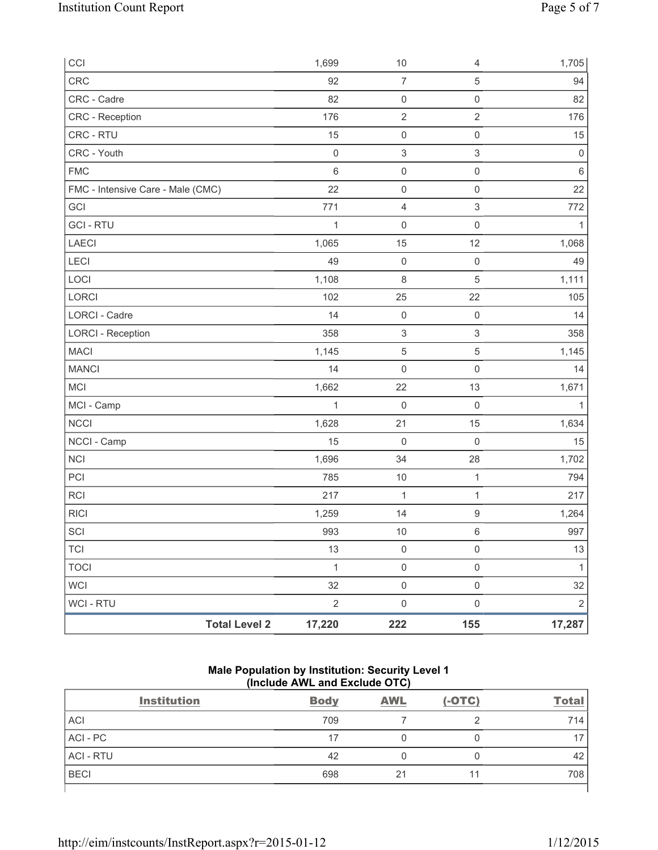| CCI                               |                      | 1,699          | 10                  | 4                         | 1,705        |
|-----------------------------------|----------------------|----------------|---------------------|---------------------------|--------------|
| CRC                               |                      | 92             | $\overline{7}$      | $\,$ 5 $\,$               | 94           |
| CRC - Cadre                       |                      | 82             | $\mathsf{O}\xspace$ | $\mathsf{O}\xspace$       | 82           |
| CRC - Reception                   |                      | 176            | $\sqrt{2}$          | $\sqrt{2}$                | 176          |
| CRC - RTU                         |                      | 15             | $\mathsf{O}\xspace$ | $\mathsf{O}\xspace$       | 15           |
| CRC - Youth                       |                      | $\mathbf 0$    | 3                   | $\ensuremath{\mathsf{3}}$ | $\mathbf 0$  |
| ${\sf FMC}$                       |                      | $6\phantom{1}$ | $\mathsf{O}\xspace$ | $\mathsf{O}\xspace$       | $\,6\,$      |
| FMC - Intensive Care - Male (CMC) |                      | 22             | $\mathsf{O}\xspace$ | $\mathsf{O}\xspace$       | 22           |
| GCI                               |                      | 771            | $\overline{4}$      | 3                         | 772          |
| <b>GCI-RTU</b>                    |                      | 1              | $\mathsf{O}\xspace$ | $\mathsf{O}\xspace$       | $\mathbf{1}$ |
| LAECI                             |                      | 1,065          | 15                  | 12                        | 1,068        |
| <b>LECI</b>                       |                      | 49             | $\mathsf{O}\xspace$ | $\mathsf 0$               | 49           |
| LOCI                              |                      | 1,108          | $\,8\,$             | 5                         | 1,111        |
| LORCI                             |                      | 102            | 25                  | 22                        | 105          |
| LORCI - Cadre                     |                      | 14             | $\mathsf{O}\xspace$ | $\mathsf 0$               | 14           |
| <b>LORCI - Reception</b>          |                      | 358            | 3                   | $\ensuremath{\mathsf{3}}$ | 358          |
| <b>MACI</b>                       |                      | 1,145          | 5                   | $\,$ 5 $\,$               | 1,145        |
| <b>MANCI</b>                      |                      | 14             | $\mathsf{O}\xspace$ | $\mathsf{O}\xspace$       | 14           |
| MCI                               |                      | 1,662          | 22                  | 13                        | 1,671        |
| MCI - Camp                        |                      | 1              | $\mathsf{O}\xspace$ | $\mathbf 0$               | 1            |
| <b>NCCI</b>                       |                      | 1,628          | 21                  | 15                        | 1,634        |
| NCCI - Camp                       |                      | 15             | 0                   | $\mathsf{O}\xspace$       | 15           |
| NCI                               |                      | 1,696          | 34                  | 28                        | 1,702        |
| PCI                               |                      | 785            | 10                  | $\mathbf{1}$              | 794          |
| <b>RCI</b>                        |                      | 217            | 1                   | $\mathbf{1}$              | 217          |
| <b>RICI</b>                       |                      | 1,259          | 14                  | 9                         | 1,264        |
| SCI                               |                      | 993            | 10                  | 6                         | 997          |
| <b>TCI</b>                        |                      | 13             | $\mathsf{O}\xspace$ | $\mathsf 0$               | 13           |
| <b>TOCI</b>                       |                      | $\mathbf{1}$   | $\mathsf{O}\xspace$ | $\mathsf{O}\xspace$       | $\mathbf{1}$ |
| <b>WCI</b>                        |                      | 32             | $\mathsf{O}\xspace$ | $\mathsf{O}\xspace$       | 32           |
| WCI - RTU                         |                      | $\overline{2}$ | $\mathsf{O}\xspace$ | $\mathsf{O}\xspace$       | $\sqrt{2}$   |
|                                   | <b>Total Level 2</b> | 17,220         | 222                 | 155                       | 17,287       |

# **Male Population by Institution: Security Level 1 (Include AWL and Exclude OTC)**

| <b>Institution</b> | <b>Body</b> | <b>AWL</b> | $(-OTC)$ | <b>Total</b> |
|--------------------|-------------|------------|----------|--------------|
| <b>ACI</b>         | 709         |            |          | 714          |
| ACI - PC           | 17          |            |          |              |
| <b>ACI - RTU</b>   | 42          |            | 0        | 42           |
| <b>BECI</b>        | 698         | 21         |          | 708          |
|                    |             |            |          |              |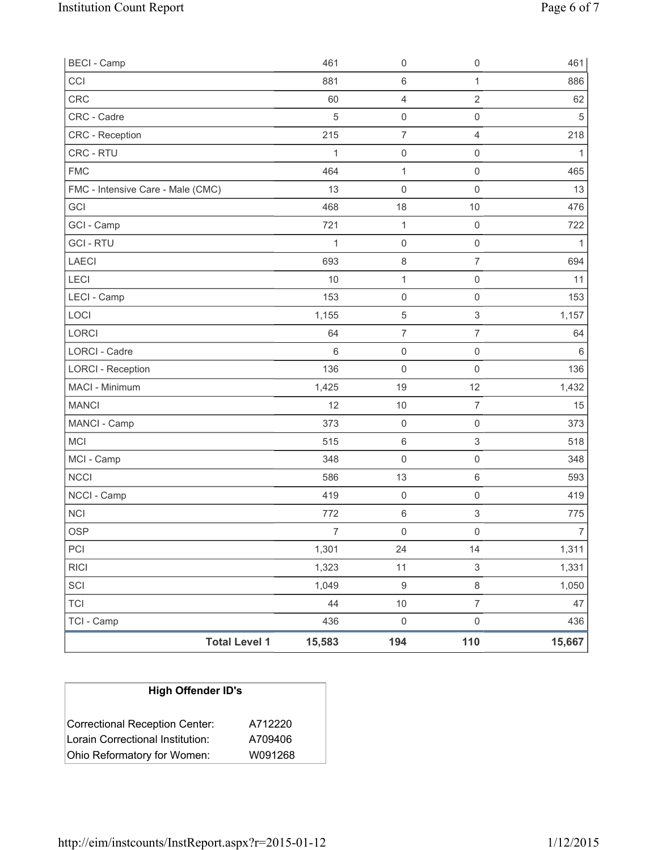| <b>BECI - Camp</b>                |                      | 461            | 0                   | $\mathsf{O}\xspace$       | 461            |
|-----------------------------------|----------------------|----------------|---------------------|---------------------------|----------------|
| CCI                               |                      | 881            | 6                   | $\mathbf{1}$              | 886            |
| <b>CRC</b>                        |                      | 60             | 4                   | $\overline{2}$            | 62             |
| CRC - Cadre                       |                      | 5              | 0                   | $\mathsf 0$               | $\sqrt{5}$     |
| <b>CRC</b> - Reception            |                      | 215            | $\overline{7}$      | $\overline{4}$            | 218            |
| CRC - RTU                         |                      | 1              | $\mathsf{O}\xspace$ | $\mathsf 0$               | 1              |
| <b>FMC</b>                        |                      | 464            | $\mathbf{1}$        | $\mathsf 0$               | 465            |
| FMC - Intensive Care - Male (CMC) |                      | 13             | $\mathsf{O}\xspace$ | $\mathsf 0$               | 13             |
| <b>GCI</b>                        |                      | 468            | 18                  | $10$                      | 476            |
| GCI - Camp                        |                      | 721            | 1                   | $\mathsf{O}\xspace$       | 722            |
| <b>GCI-RTU</b>                    |                      | 1              | $\mathsf{O}\xspace$ | $\mathsf 0$               | 1              |
| LAECI                             |                      | 693            | $\,8\,$             | $\overline{7}$            | 694            |
| LECI                              |                      | 10             | 1                   | $\mathsf 0$               | 11             |
| LECI - Camp                       |                      | 153            | $\boldsymbol{0}$    | $\mathbf 0$               | 153            |
| LOCI                              |                      | 1,155          | 5                   | $\ensuremath{\mathsf{3}}$ | 1,157          |
| <b>LORCI</b>                      |                      | 64             | $\overline{7}$      | $\overline{7}$            | 64             |
| <b>LORCI - Cadre</b>              |                      | 6              | $\mathsf{O}\xspace$ | $\mathsf 0$               | $\,6\,$        |
| <b>LORCI - Reception</b>          |                      | 136            | $\mathsf{O}\xspace$ | $\mathsf 0$               | 136            |
| MACI - Minimum                    |                      | 1,425          | 19                  | 12                        | 1,432          |
| <b>MANCI</b>                      |                      | 12             | $10$                | $\overline{7}$            | 15             |
| MANCI - Camp                      |                      | 373            | $\mathsf{O}\xspace$ | $\mathbf 0$               | 373            |
| <b>MCI</b>                        |                      | 515            | $\,6\,$             | $\ensuremath{\mathsf{3}}$ | 518            |
| MCI - Camp                        |                      | 348            | $\mathsf 0$         | $\mathsf{O}\xspace$       | 348            |
| <b>NCCI</b>                       |                      | 586            | 13                  | $\,6\,$                   | 593            |
| NCCI - Camp                       |                      | 419            | $\mathsf 0$         | $\mathsf 0$               | 419            |
| <b>NCI</b>                        |                      | 772            | 6                   | $\ensuremath{\mathsf{3}}$ | 775            |
| <b>OSP</b>                        |                      | $\overline{7}$ | $\mathsf{O}\xspace$ | $\mathsf 0$               | $\overline{7}$ |
| PCI                               |                      | 1,301          | 24                  | 14                        | 1,311          |
| <b>RICI</b>                       |                      | 1,323          | 11                  | $\mathsf 3$               | 1,331          |
| SCI                               |                      | 1,049          | $\boldsymbol{9}$    | $\,8\,$                   | 1,050          |
| <b>TCI</b>                        |                      | 44             | $10$                | $\overline{7}$            | 47             |
| TCI - Camp                        |                      | 436            | $\mathsf{O}\xspace$ | $\mathsf{O}\xspace$       | 436            |
|                                   | <b>Total Level 1</b> | 15,583         | 194                 | 110                       | 15,667         |

| <b>High Offender ID's</b>              |         |  |  |  |  |
|----------------------------------------|---------|--|--|--|--|
| Correctional Reception Center:         | A712220 |  |  |  |  |
| Lorain Correctional Institution:       | A709406 |  |  |  |  |
| Ohio Reformatory for Women:<br>W091268 |         |  |  |  |  |